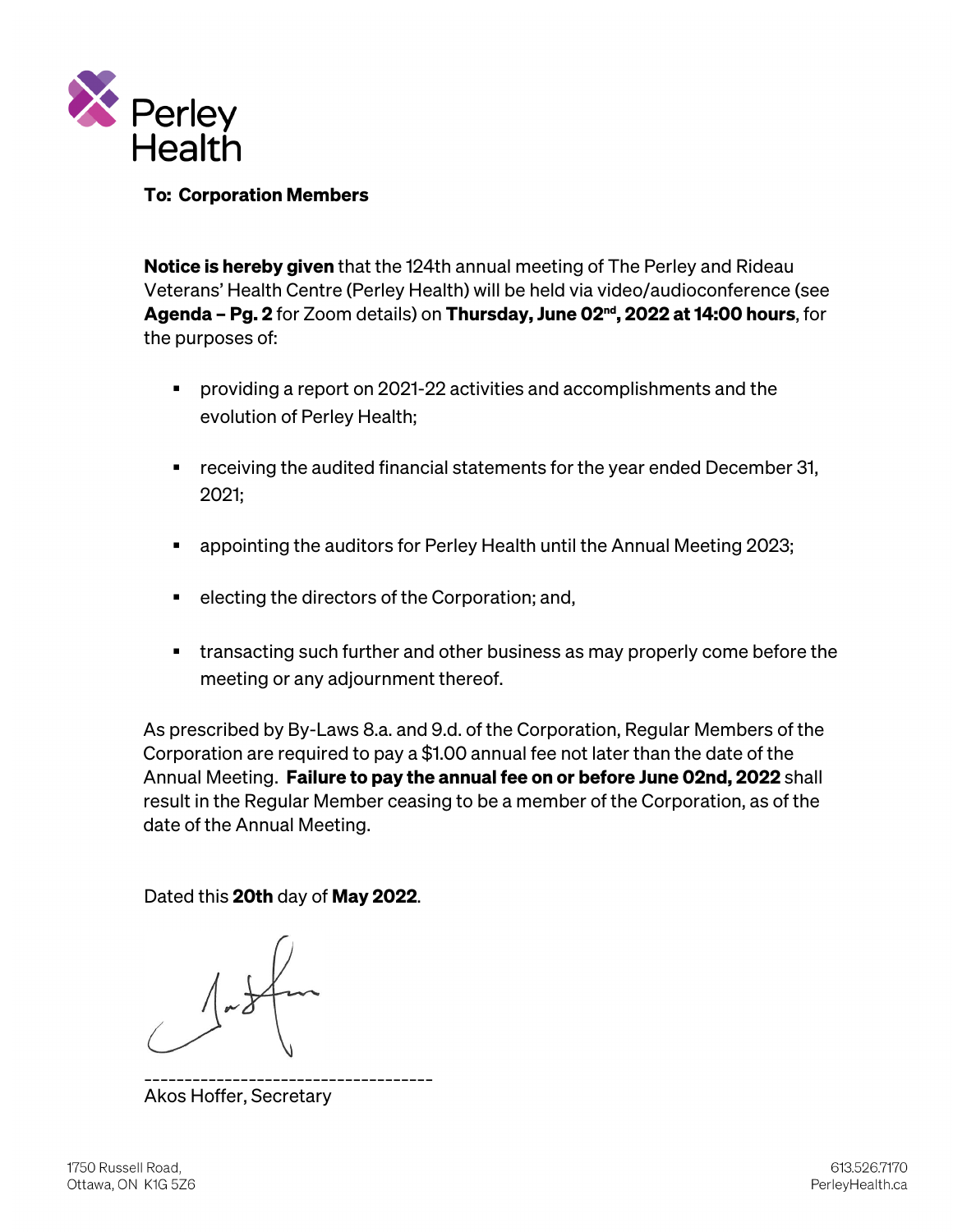

# To: Corporation Members

Notice is hereby given that the 124th annual meeting of The Perley and Rideau Veterans' Health Centre (Perley Health) will be held via video/audioconference (see Agenda – Pg. 2 for Zoom details) on Thursday, June 02<sup>nd</sup>, 2022 at 14:00 hours, for the purposes of:

- providing a report on 2021-22 activities and accomplishments and the evolution of Perley Health;
- **•** receiving the audited financial statements for the year ended December 31, 2021;
- appointing the auditors for Perley Health until the Annual Meeting 2023;
- $\blacksquare$  electing the directors of the Corporation; and,
- transacting such further and other business as may properly come before the meeting or any adjournment thereof.

As prescribed by By-Laws 8.a. and 9.d. of the Corporation, Regular Members of the Corporation are required to pay a \$1.00 annual fee not later than the date of the Annual Meeting. Failure to pay the annual fee on or before June 02nd, 2022 shall result in the Regular Member ceasing to be a member of the Corporation, as of the date of the Annual Meeting.

Dated this 20th day of May 2022.

\_\_\_\_\_\_\_\_\_\_\_\_\_\_\_\_\_\_\_\_\_\_\_\_\_\_\_\_\_\_\_\_\_\_\_\_ Akos Hoffer, Secretary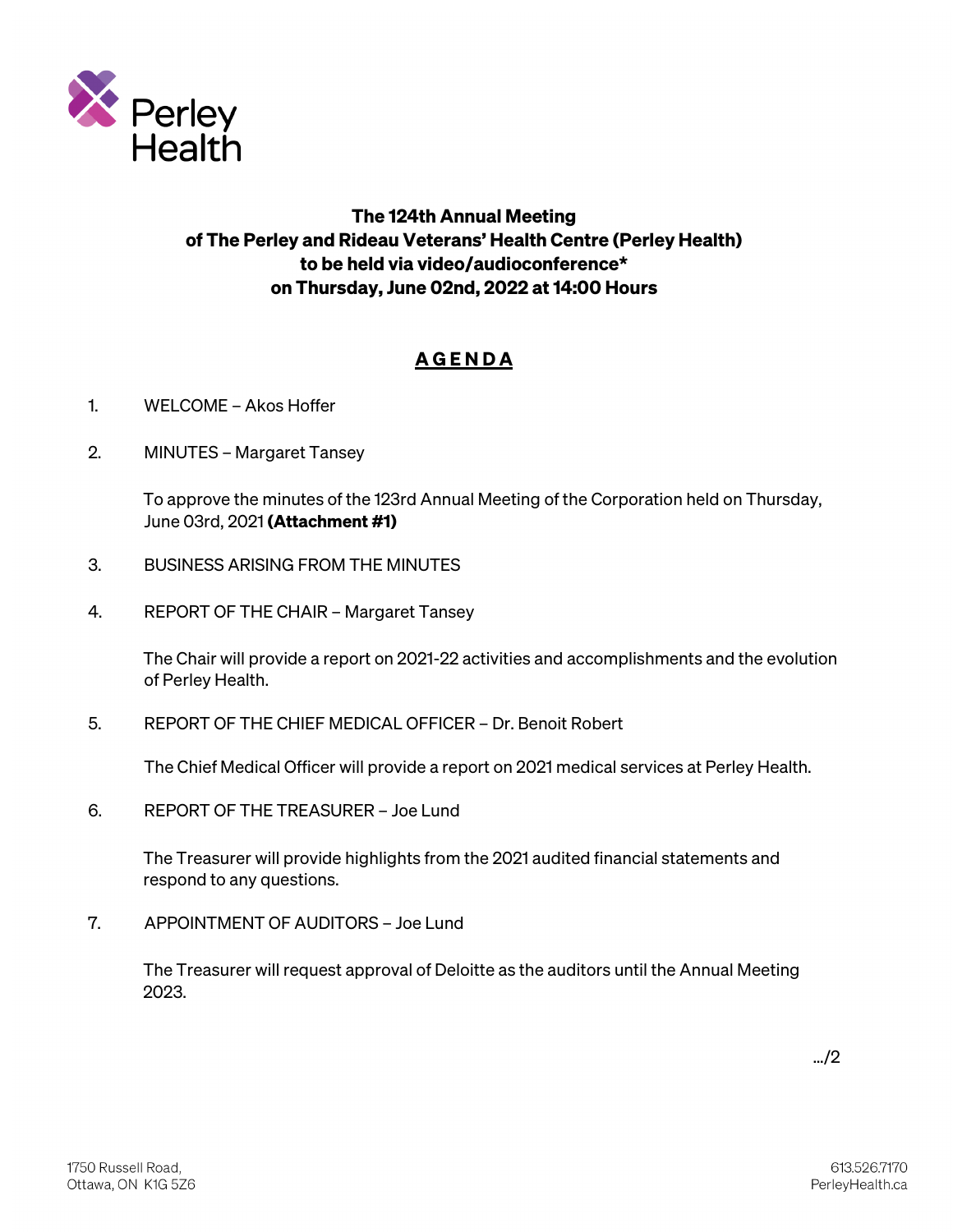

# The 124th Annual Meeting of The Perley and Rideau Veterans' Health Centre (Perley Health) to be held via video/audioconference\* on Thursday, June 02nd, 2022 at 14:00 Hours

# **AGENDA**

- 1. WELCOME Akos Hoffer
- 2. MINUTES Margaret Tansey

To approve the minutes of the 123rd Annual Meeting of the Corporation held on Thursday, June 03rd, 2021 (Attachment #1)

- 3. BUSINESS ARISING FROM THE MINUTES
- 4. REPORT OF THE CHAIR Margaret Tansey

The Chair will provide a report on 2021-22 activities and accomplishments and the evolution of Perley Health.

5. REPORT OF THE CHIEF MEDICAL OFFICER – Dr. Benoit Robert

The Chief Medical Officer will provide a report on 2021 medical services at Perley Health.

6. REPORT OF THE TREASURER – Joe Lund

The Treasurer will provide highlights from the 2021 audited financial statements and respond to any questions.

7. APPOINTMENT OF AUDITORS – Joe Lund

The Treasurer will request approval of Deloitte as the auditors until the Annual Meeting 2023.

…/2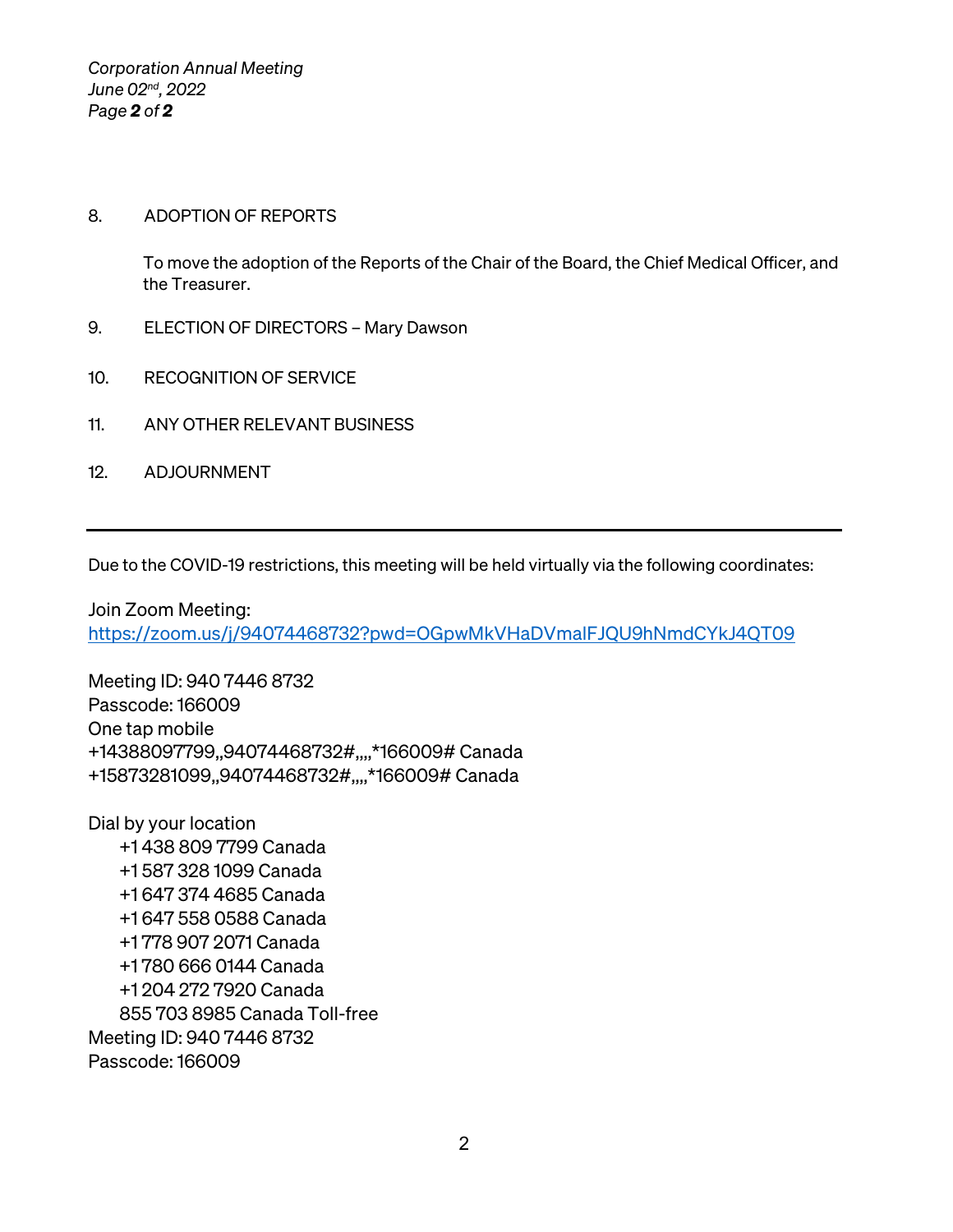*Corporation Annual Meeting June 02nd, 2022 Page 2 of 2*

# 8. ADOPTION OF REPORTS

To move the adoption of the Reports of the Chair of the Board, the Chief Medical Officer, and the Treasurer.

- 9. ELECTION OF DIRECTORS Mary Dawson
- 10. RECOGNITION OF SERVICE
- 11. ANY OTHER RELEVANT BUSINESS
- 12. ADJOURNMENT

Due to the COVID-19 restrictions, this meeting will be held virtually via the following coordinates:

Join Zoom Meeting: <https://zoom.us/j/94074468732?pwd=OGpwMkVHaDVmalFJQU9hNmdCYkJ4QT09>

Meeting ID: 940 7446 8732 Passcode: 166009 One tap mobile +14388097799,,94074468732#,,,,\*166009# Canada +15873281099,,94074468732#,,,,\*166009# Canada

Dial by your location +1 438 809 7799 Canada +1 587 328 1099 Canada +1 647 374 4685 Canada +1 647 558 0588 Canada +1 778 907 2071 Canada +1 780 666 0144 Canada +1 204 272 7920 Canada 855 703 8985 Canada Toll-free Meeting ID: 940 7446 8732 Passcode: 166009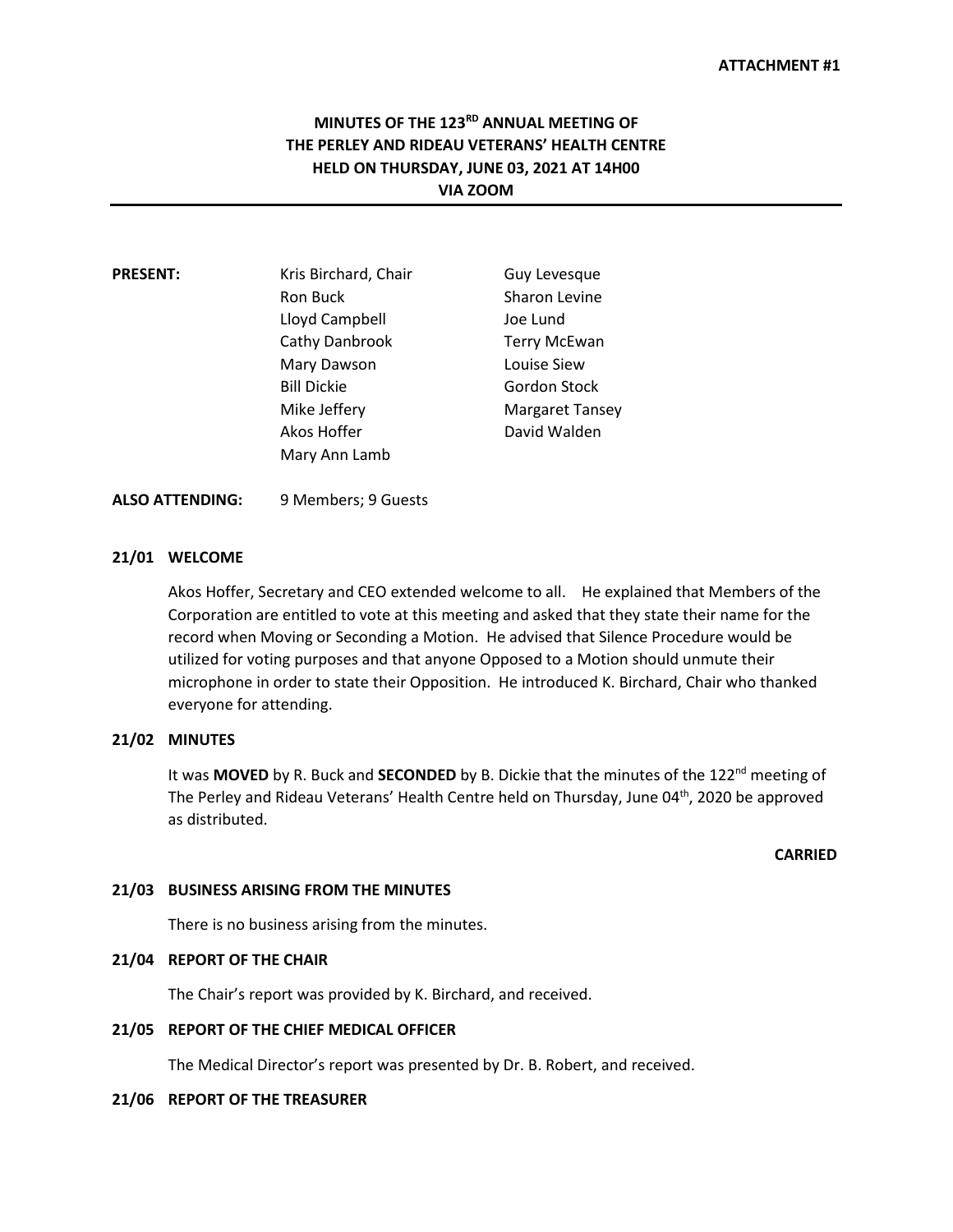# **MINUTES OF THE 123RD ANNUAL MEETING OF THE PERLEY AND RIDEAU VETERANS' HEALTH CENTRE HELD ON THURSDAY, JUNE 03, 2021 AT 14H00 VIA ZOOM**

| <b>PRESENT:</b> | Kris Birchard, Chair | Guy Levesque           |
|-----------------|----------------------|------------------------|
|                 | Ron Buck             | Sharon Levine          |
|                 | Lloyd Campbell       | Joe Lund               |
|                 | Cathy Danbrook       | <b>Terry McEwan</b>    |
|                 | Mary Dawson          | Louise Siew            |
|                 | <b>Bill Dickie</b>   | Gordon Stock           |
|                 | Mike Jeffery         | <b>Margaret Tansey</b> |
|                 | Akos Hoffer          | David Walden           |
|                 | Mary Ann Lamb        |                        |

#### **ALSO ATTENDING:** 9 Members; 9 Guests

#### **21/01 WELCOME**

Akos Hoffer, Secretary and CEO extended welcome to all. He explained that Members of the Corporation are entitled to vote at this meeting and asked that they state their name for the record when Moving or Seconding a Motion. He advised that Silence Procedure would be utilized for voting purposes and that anyone Opposed to a Motion should unmute their microphone in order to state their Opposition. He introduced K. Birchard, Chair who thanked everyone for attending.

#### **21/02 MINUTES**

It was MOVED by R. Buck and SECONDED by B. Dickie that the minutes of the 122<sup>nd</sup> meeting of The Perley and Rideau Veterans' Health Centre held on Thursday, June 04<sup>th</sup>, 2020 be approved as distributed.

# **CARRIED**

#### **21/03 BUSINESS ARISING FROM THE MINUTES**

There is no business arising from the minutes.

## **21/04 REPORT OF THE CHAIR**

The Chair's report was provided by K. Birchard, and received.

#### **21/05 REPORT OF THE CHIEF MEDICAL OFFICER**

The Medical Director's report was presented by Dr. B. Robert, and received.

#### **21/06 REPORT OF THE TREASURER**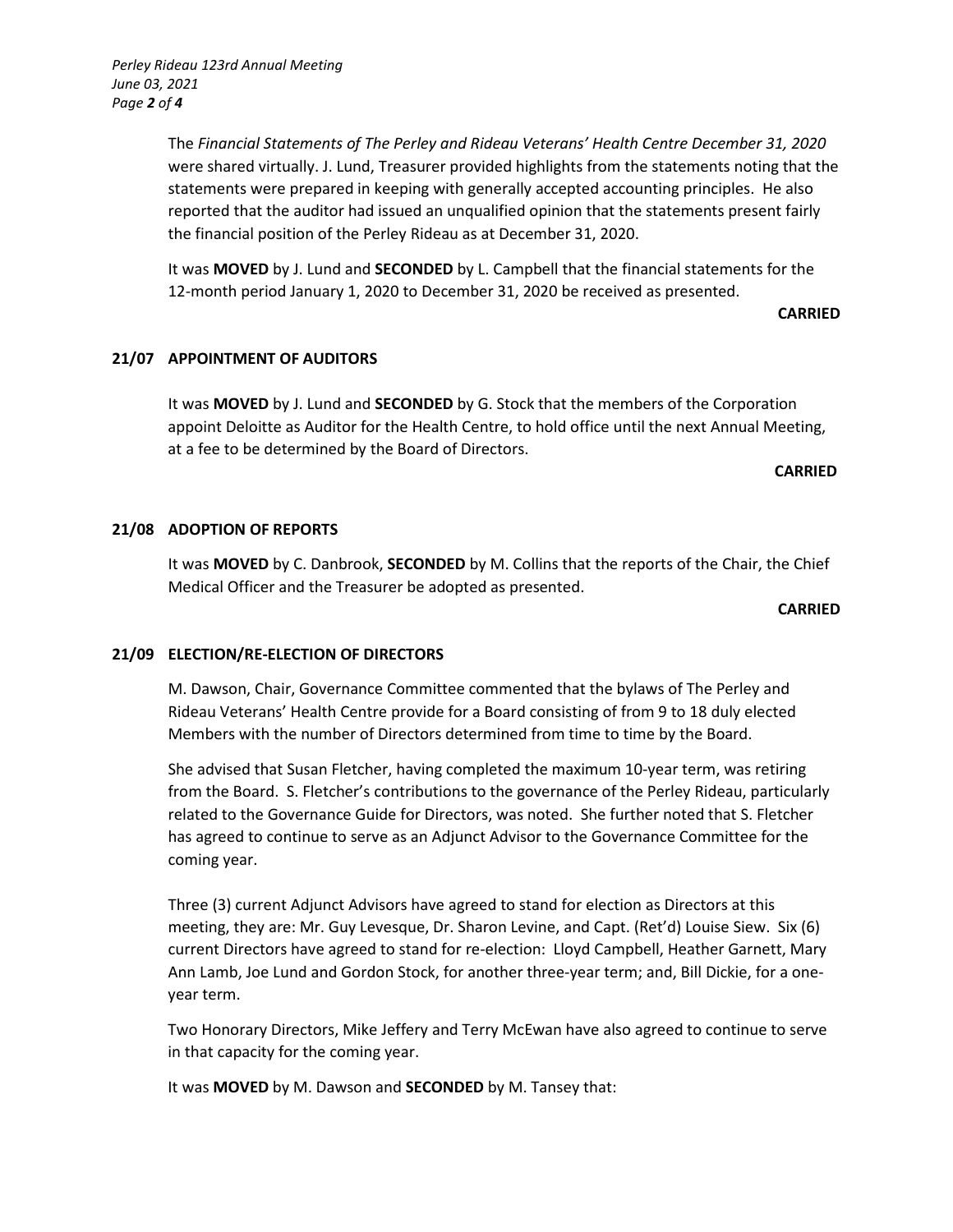The *Financial Statements of The Perley and Rideau Veterans' Health Centre December 31, 2020*  were shared virtually. J. Lund, Treasurer provided highlights from the statements noting that the statements were prepared in keeping with generally accepted accounting principles. He also reported that the auditor had issued an unqualified opinion that the statements present fairly the financial position of the Perley Rideau as at December 31, 2020.

It was **MOVED** by J. Lund and **SECONDED** by L. Campbell that the financial statements for the 12-month period January 1, 2020 to December 31, 2020 be received as presented.

#### **CARRIED**

## **21/07 APPOINTMENT OF AUDITORS**

It was **MOVED** by J. Lund and **SECONDED** by G. Stock that the members of the Corporation appoint Deloitte as Auditor for the Health Centre, to hold office until the next Annual Meeting, at a fee to be determined by the Board of Directors.

#### **CARRIED**

## **21/08 ADOPTION OF REPORTS**

It was **MOVED** by C. Danbrook, **SECONDED** by M. Collins that the reports of the Chair, the Chief Medical Officer and the Treasurer be adopted as presented.

#### **CARRIED**

#### **21/09 ELECTION/RE-ELECTION OF DIRECTORS**

M. Dawson, Chair, Governance Committee commented that the bylaws of The Perley and Rideau Veterans' Health Centre provide for a Board consisting of from 9 to 18 duly elected Members with the number of Directors determined from time to time by the Board.

She advised that Susan Fletcher, having completed the maximum 10-year term, was retiring from the Board. S. Fletcher's contributions to the governance of the Perley Rideau, particularly related to the Governance Guide for Directors, was noted. She further noted that S. Fletcher has agreed to continue to serve as an Adjunct Advisor to the Governance Committee for the coming year.

Three (3) current Adjunct Advisors have agreed to stand for election as Directors at this meeting, they are: Mr. Guy Levesque, Dr. Sharon Levine, and Capt. (Ret'd) Louise Siew. Six (6) current Directors have agreed to stand for re-election: Lloyd Campbell, Heather Garnett, Mary Ann Lamb, Joe Lund and Gordon Stock, for another three-year term; and, Bill Dickie, for a oneyear term.

Two Honorary Directors, Mike Jeffery and Terry McEwan have also agreed to continue to serve in that capacity for the coming year.

It was **MOVED** by M. Dawson and **SECONDED** by M. Tansey that: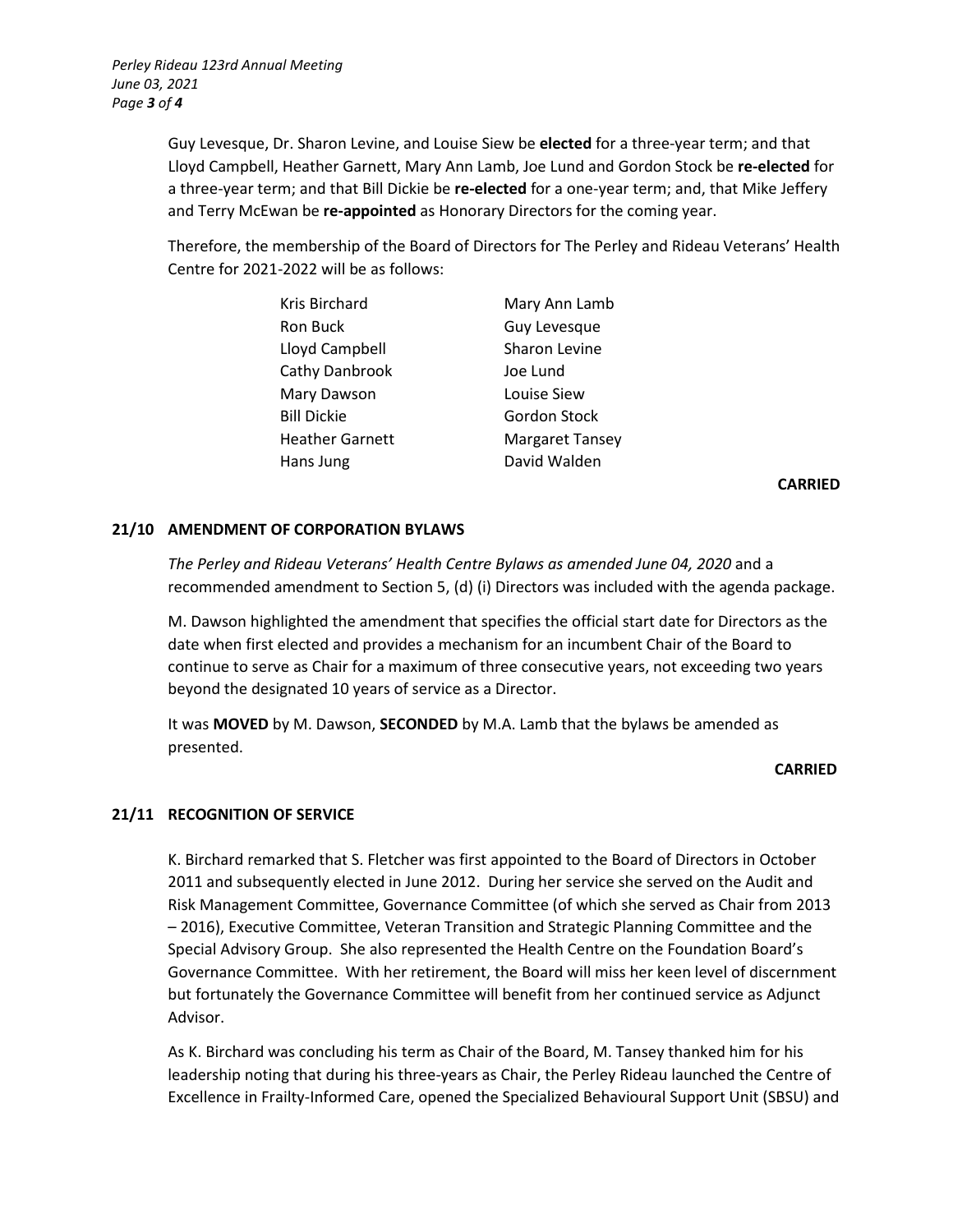Guy Levesque, Dr. Sharon Levine, and Louise Siew be **elected** for a three-year term; and that Lloyd Campbell, Heather Garnett, Mary Ann Lamb, Joe Lund and Gordon Stock be **re-elected** for a three-year term; and that Bill Dickie be **re-elected** for a one-year term; and, that Mike Jeffery and Terry McEwan be **re-appointed** as Honorary Directors for the coming year.

Therefore, the membership of the Board of Directors for The Perley and Rideau Veterans' Health Centre for 2021-2022 will be as follows:

| Kris Birchard      | Mary Ann Lamb          |
|--------------------|------------------------|
| Ron Buck           | Guy Levesque           |
| Lloyd Campbell     | Sharon Levine          |
| Cathy Danbrook     | Joe Lund               |
| Mary Dawson        | Louise Siew            |
| <b>Bill Dickie</b> | Gordon Stock           |
| Heather Garnett    | <b>Margaret Tansey</b> |
| Hans Jung          | David Walden           |

**CARRIED**

# **21/10 AMENDMENT OF CORPORATION BYLAWS**

The Perley and Rideau Veterans' Health Centre Bylaws as amended June 04, 2020 and a recommended amendment to Section 5, (d) (i) Directors was included with the agenda package.

M. Dawson highlighted the amendment that specifies the official start date for Directors as the date when first elected and provides a mechanism for an incumbent Chair of the Board to continue to serve as Chair for a maximum of three consecutive years, not exceeding two years beyond the designated 10 years of service as a Director.

It was **MOVED** by M. Dawson, **SECONDED** by M.A. Lamb that the bylaws be amended as presented.

#### **CARRIED**

# **21/11 RECOGNITION OF SERVICE**

K. Birchard remarked that S. Fletcher was first appointed to the Board of Directors in October 2011 and subsequently elected in June 2012. During her service she served on the Audit and Risk Management Committee, Governance Committee (of which she served as Chair from 2013 – 2016), Executive Committee, Veteran Transition and Strategic Planning Committee and the Special Advisory Group. She also represented the Health Centre on the Foundation Board's Governance Committee. With her retirement, the Board will miss her keen level of discernment but fortunately the Governance Committee will benefit from her continued service as Adjunct Advisor.

As K. Birchard was concluding his term as Chair of the Board, M. Tansey thanked him for his leadership noting that during his three-years as Chair, the Perley Rideau launched the Centre of Excellence in Frailty-Informed Care, opened the Specialized Behavioural Support Unit (SBSU) and